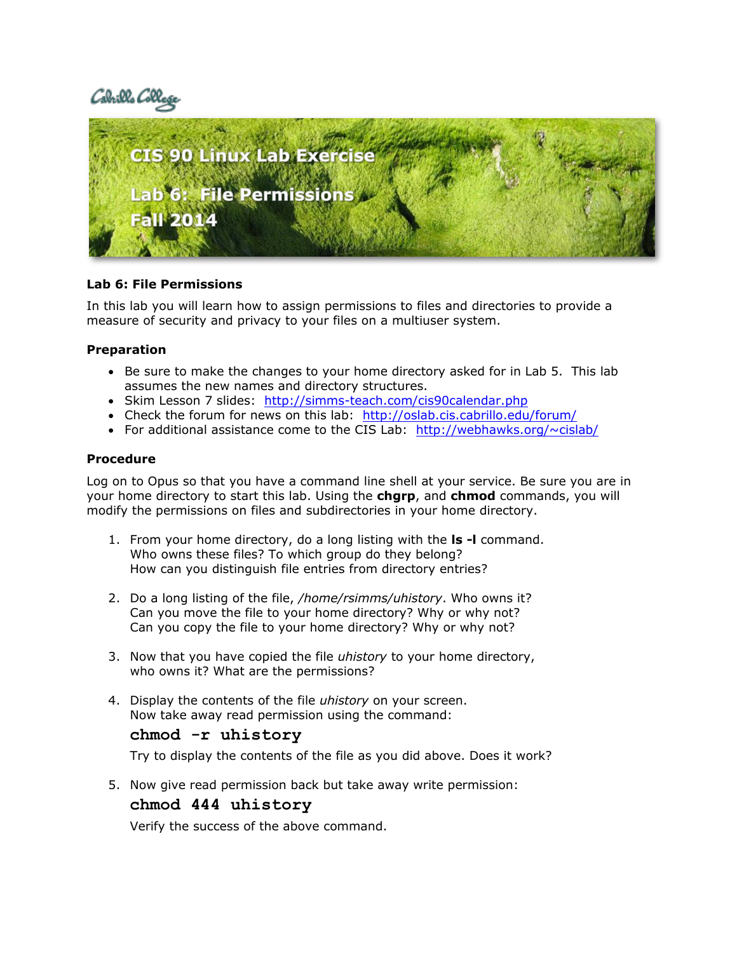



## **Lab 6: File Permissions**

In this lab you will learn how to assign permissions to files and directories to provide a measure of security and privacy to your files on a multiuser system.

## **Preparation**

- Be sure to make the changes to your home directory asked for in Lab 5. This lab assumes the new names and directory structures.
- Skim Lesson 7 slides: http://simms-teach.com/cis90calendar.php
- Check the forum for news on this lab: <http://oslab.cis.cabrillo.edu/forum/>
- For additional assistance come to the CIS Lab:  $<http://webhawks.org/~cislab/>$  $<http://webhawks.org/~cislab/>$  $<http://webhawks.org/~cislab/>$

### **Procedure**

Log on to Opus so that you have a command line shell at your service. Be sure you are in your home directory to start this lab. Using the **chgrp**, and **chmod** commands, you will modify the permissions on files and subdirectories in your home directory.

- 1. From your home directory, do a long listing with the **ls -l** command. Who owns these files? To which group do they belong? How can you distinguish file entries from directory entries?
- 2. Do a long listing of the file, */home/rsimms/uhistory*. Who owns it? Can you move the file to your home directory? Why or why not? Can you copy the file to your home directory? Why or why not?
- 3. Now that you have copied the file *uhistory* to your home directory, who owns it? What are the permissions?
- 4. Display the contents of the file *uhistory* on your screen. Now take away read permission using the command:

# **chmod -r uhistory**

Try to display the contents of the file as you did above. Does it work?

5. Now give read permission back but take away write permission:

### **chmod 444 uhistory**

Verify the success of the above command.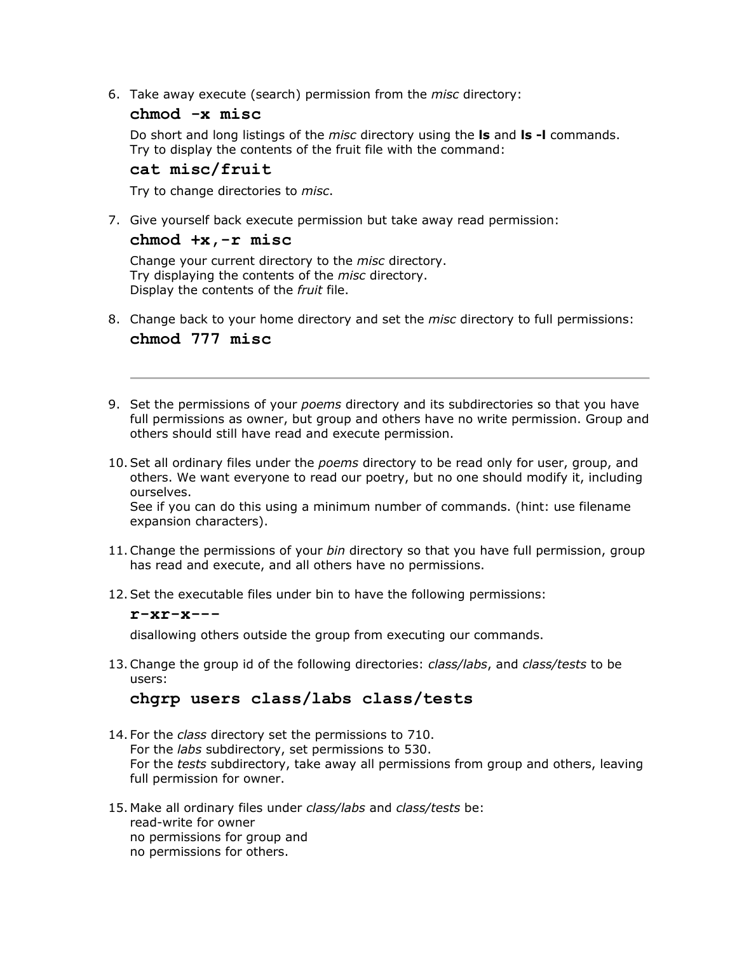6. Take away execute (search) permission from the *misc* directory:

## **chmod -x misc**

Do short and long listings of the *misc* directory using the **ls** and **ls -l** commands. Try to display the contents of the fruit file with the command:

# **cat misc/fruit**

Try to change directories to *misc*.

7. Give yourself back execute permission but take away read permission:

#### **chmod +x,-r misc**

Change your current directory to the *misc* directory. Try displaying the contents of the *misc* directory. Display the contents of the *fruit* file.

- 8. Change back to your home directory and set the *misc* directory to full permissions: **chmod 777 misc**
- 9. Set the permissions of your *poems* directory and its subdirectories so that you have full permissions as owner, but group and others have no write permission. Group and others should still have read and execute permission.
- 10.Set all ordinary files under the *poems* directory to be read only for user, group, and others. We want everyone to read our poetry, but no one should modify it, including ourselves.

See if you can do this using a minimum number of commands. (hint: use filename expansion characters).

- 11.Change the permissions of your *bin* directory so that you have full permission, group has read and execute, and all others have no permissions.
- 12.Set the executable files under bin to have the following permissions:

## **r-xr-x---**

disallowing others outside the group from executing our commands.

13.Change the group id of the following directories: *class/labs*, and *class/tests* to be users:

# **chgrp users class/labs class/tests**

- 14. For the *class* directory set the permissions to 710. For the *labs* subdirectory, set permissions to 530. For the *tests* subdirectory, take away all permissions from group and others, leaving full permission for owner.
- 15. Make all ordinary files under *class/labs* and *class/tests* be: read-write for owner no permissions for group and no permissions for others.